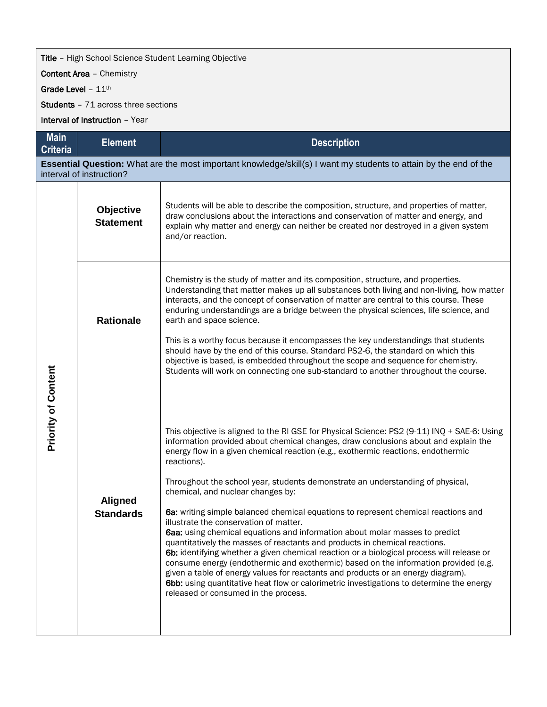## **Title** - High School Science Student Learning Objective

Content Area – Chemistry

Grade Level - 11th

Students – 71 across three sections

Interval of Instruction – Year

| <b>Main</b><br><b>Criteria</b>                                                                                                                | <b>Element</b>                     | <b>Description</b>                                                                                                                                                                                                                                                                                                                                                                                                                                                                                                                                                                                                                                                                                                                                                                                                                                                                                                                                                                                                                                                                                                     |  |  |  |  |  |
|-----------------------------------------------------------------------------------------------------------------------------------------------|------------------------------------|------------------------------------------------------------------------------------------------------------------------------------------------------------------------------------------------------------------------------------------------------------------------------------------------------------------------------------------------------------------------------------------------------------------------------------------------------------------------------------------------------------------------------------------------------------------------------------------------------------------------------------------------------------------------------------------------------------------------------------------------------------------------------------------------------------------------------------------------------------------------------------------------------------------------------------------------------------------------------------------------------------------------------------------------------------------------------------------------------------------------|--|--|--|--|--|
| Essential Question: What are the most important knowledge/skill(s) I want my students to attain by the end of the<br>interval of instruction? |                                    |                                                                                                                                                                                                                                                                                                                                                                                                                                                                                                                                                                                                                                                                                                                                                                                                                                                                                                                                                                                                                                                                                                                        |  |  |  |  |  |
| <b>Priority of Content</b>                                                                                                                    | Objective<br><b>Statement</b>      | Students will be able to describe the composition, structure, and properties of matter,<br>draw conclusions about the interactions and conservation of matter and energy, and<br>explain why matter and energy can neither be created nor destroyed in a given system<br>and/or reaction.                                                                                                                                                                                                                                                                                                                                                                                                                                                                                                                                                                                                                                                                                                                                                                                                                              |  |  |  |  |  |
|                                                                                                                                               | <b>Rationale</b>                   | Chemistry is the study of matter and its composition, structure, and properties.<br>Understanding that matter makes up all substances both living and non-living, how matter<br>interacts, and the concept of conservation of matter are central to this course. These<br>enduring understandings are a bridge between the physical sciences, life science, and<br>earth and space science.<br>This is a worthy focus because it encompasses the key understandings that students<br>should have by the end of this course. Standard PS2-6, the standard on which this<br>objective is based, is embedded throughout the scope and sequence for chemistry.<br>Students will work on connecting one sub-standard to another throughout the course.                                                                                                                                                                                                                                                                                                                                                                      |  |  |  |  |  |
|                                                                                                                                               | <b>Aligned</b><br><b>Standards</b> | This objective is aligned to the RI GSE for Physical Science: PS2 (9-11) INQ + SAE-6: Using<br>information provided about chemical changes, draw conclusions about and explain the<br>energy flow in a given chemical reaction (e.g., exothermic reactions, endothermic<br>reactions).<br>Throughout the school year, students demonstrate an understanding of physical,<br>chemical, and nuclear changes by:<br>6a: writing simple balanced chemical equations to represent chemical reactions and<br>illustrate the conservation of matter.<br>6aa: using chemical equations and information about molar masses to predict<br>quantitatively the masses of reactants and products in chemical reactions.<br>6b: identifying whether a given chemical reaction or a biological process will release or<br>consume energy (endothermic and exothermic) based on the information provided (e.g.<br>given a table of energy values for reactants and products or an energy diagram).<br>6bb: using quantitative heat flow or calorimetric investigations to determine the energy<br>released or consumed in the process. |  |  |  |  |  |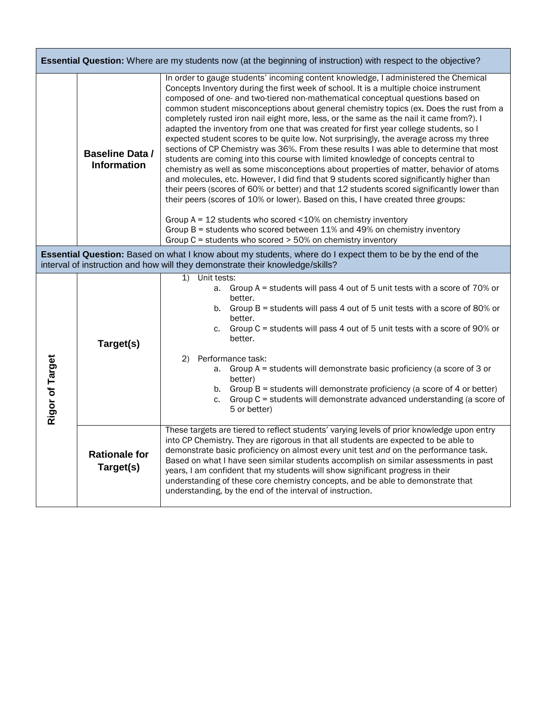| <b>Essential Question:</b> Where are my students now (at the beginning of instruction) with respect to the objective?                                                                       |                                              |                                                                                                                                                                                                                                                                                                                                                                                                                                                                                                                                                                                                                                                                                                                                                                                                                                                                                                                                                                                                                                                                                                                                                                                                                                                                                                                                                                                                              |  |  |  |  |
|---------------------------------------------------------------------------------------------------------------------------------------------------------------------------------------------|----------------------------------------------|--------------------------------------------------------------------------------------------------------------------------------------------------------------------------------------------------------------------------------------------------------------------------------------------------------------------------------------------------------------------------------------------------------------------------------------------------------------------------------------------------------------------------------------------------------------------------------------------------------------------------------------------------------------------------------------------------------------------------------------------------------------------------------------------------------------------------------------------------------------------------------------------------------------------------------------------------------------------------------------------------------------------------------------------------------------------------------------------------------------------------------------------------------------------------------------------------------------------------------------------------------------------------------------------------------------------------------------------------------------------------------------------------------------|--|--|--|--|
|                                                                                                                                                                                             | <b>Baseline Data /</b><br><b>Information</b> | In order to gauge students' incoming content knowledge, I administered the Chemical<br>Concepts Inventory during the first week of school. It is a multiple choice instrument<br>composed of one- and two-tiered non-mathematical conceptual questions based on<br>common student misconceptions about general chemistry topics (ex. Does the rust from a<br>completely rusted iron nail eight more, less, or the same as the nail it came from?). I<br>adapted the inventory from one that was created for first year college students, so I<br>expected student scores to be quite low. Not surprisingly, the average across my three<br>sections of CP Chemistry was 36%. From these results I was able to determine that most<br>students are coming into this course with limited knowledge of concepts central to<br>chemistry as well as some misconceptions about properties of matter, behavior of atoms<br>and molecules, etc. However, I did find that 9 students scored significantly higher than<br>their peers (scores of 60% or better) and that 12 students scored significantly lower than<br>their peers (scores of 10% or lower). Based on this, I have created three groups:<br>Group $A = 12$ students who scored <10% on chemistry inventory<br>Group B = students who scored between 11% and 49% on chemistry inventory<br>Group C = students who scored > 50% on chemistry inventory |  |  |  |  |
| Essential Question: Based on what I know about my students, where do I expect them to be by the end of the<br>interval of instruction and how will they demonstrate their knowledge/skills? |                                              |                                                                                                                                                                                                                                                                                                                                                                                                                                                                                                                                                                                                                                                                                                                                                                                                                                                                                                                                                                                                                                                                                                                                                                                                                                                                                                                                                                                                              |  |  |  |  |
| Rigor of Target                                                                                                                                                                             | Target(s)                                    | Unit tests:<br>$\mathbf{1}$<br>a. Group A = students will pass 4 out of 5 unit tests with a score of 70% or<br>better.<br>b. Group $B =$ students will pass 4 out of 5 unit tests with a score of 80% or<br>better.<br>c. Group $C =$ students will pass 4 out of 5 unit tests with a score of 90% or<br>better.<br>2)<br>Performance task:<br>a. Group A = students will demonstrate basic proficiency (a score of 3 or<br>better)<br>b. Group $B =$ students will demonstrate proficiency (a score of 4 or better)<br>Group C = students will demonstrate advanced understanding (a score of<br>C <sub>1</sub><br>5 or better)                                                                                                                                                                                                                                                                                                                                                                                                                                                                                                                                                                                                                                                                                                                                                                             |  |  |  |  |
|                                                                                                                                                                                             | <b>Rationale for</b><br>Target(s)            | These targets are tiered to reflect students' varying levels of prior knowledge upon entry<br>into CP Chemistry. They are rigorous in that all students are expected to be able to<br>demonstrate basic proficiency on almost every unit test and on the performance task.<br>Based on what I have seen similar students accomplish on similar assessments in past<br>years, I am confident that my students will show significant progress in their<br>understanding of these core chemistry concepts, and be able to demonstrate that<br>understanding, by the end of the interval of instruction.                                                                                                                                                                                                                                                                                                                                                                                                                                                                                                                                                                                                                                                                                                                                                                                                         |  |  |  |  |